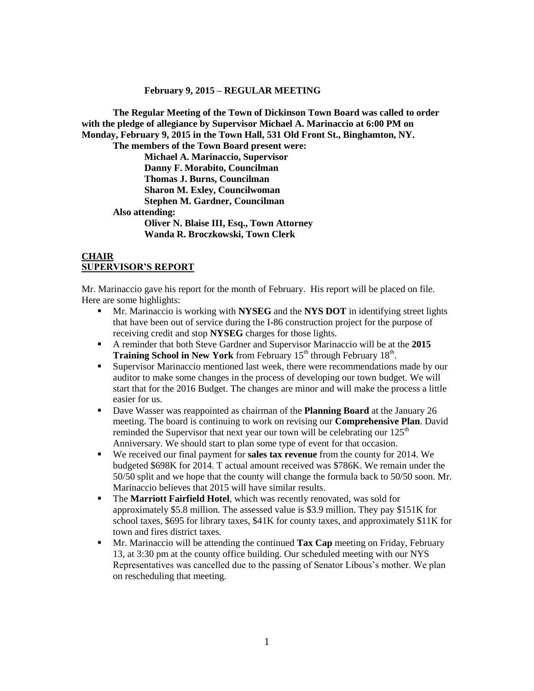#### **February 9, 2015 – REGULAR MEETING**

**The Regular Meeting of the Town of Dickinson Town Board was called to order with the pledge of allegiance by Supervisor Michael A. Marinaccio at 6:00 PM on Monday, February 9, 2015 in the Town Hall, 531 Old Front St., Binghamton, NY.** 

**The members of the Town Board present were: Michael A. Marinaccio, Supervisor Danny F. Morabito, Councilman Thomas J. Burns, Councilman Sharon M. Exley, Councilwoman Stephen M. Gardner, Councilman Also attending: Oliver N. Blaise III, Esq., Town Attorney Wanda R. Broczkowski, Town Clerk**

#### **CHAIR SUPERVISOR'S REPORT**

Mr. Marinaccio gave his report for the month of February. His report will be placed on file. Here are some highlights:

- Mr. Marinaccio is working with **NYSEG** and the **NYS DOT** in identifying street lights that have been out of service during the I-86 construction project for the purpose of receiving credit and stop **NYSEG** charges for those lights.
- A reminder that both Steve Gardner and Supervisor Marinaccio will be at the **2015 Training School in New York** from February 15<sup>th</sup> through February 18<sup>th</sup>.
- Supervisor Marinaccio mentioned last week, there were recommendations made by our auditor to make some changes in the process of developing our town budget. We will start that for the 2016 Budget. The changes are minor and will make the process a little easier for us.
- Dave Wasser was reappointed as chairman of the **Planning Board** at the January 26 meeting. The board is continuing to work on revising our **Comprehensive Plan**. David reminded the Supervisor that next year our town will be celebrating our  $125<sup>th</sup>$ Anniversary. We should start to plan some type of event for that occasion.
- We received our final payment for **sales tax revenue** from the county for 2014. We budgeted \$698K for 2014. T actual amount received was \$786K. We remain under the 50/50 split and we hope that the county will change the formula back to 50/50 soon. Mr. Marinaccio believes that 2015 will have similar results.
- The **Marriott Fairfield Hotel**, which was recently renovated, was sold for approximately \$5.8 million. The assessed value is \$3.9 million. They pay \$151K for school taxes, \$695 for library taxes, \$41K for county taxes, and approximately \$11K for town and fires district taxes.
- **Mr.** Marinaccio will be attending the continued **Tax Cap** meeting on Friday, February 13, at 3:30 pm at the county office building. Our scheduled meeting with our NYS Representatives was cancelled due to the passing of Senator Libous's mother. We plan on rescheduling that meeting.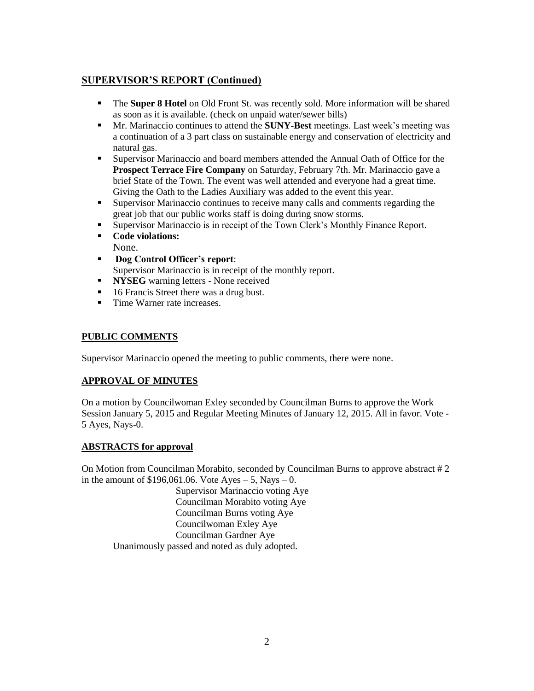# **SUPERVISOR'S REPORT (Continued)**

- The **Super 8 Hotel** on Old Front St. was recently sold. More information will be shared as soon as it is available. (check on unpaid water/sewer bills)
- Mr. Marinaccio continues to attend the **SUNY-Best** meetings. Last week's meeting was a continuation of a 3 part class on sustainable energy and conservation of electricity and natural gas.
- Supervisor Marinaccio and board members attended the Annual Oath of Office for the **Prospect Terrace Fire Company** on Saturday, February 7th. Mr. Marinaccio gave a brief State of the Town. The event was well attended and everyone had a great time. Giving the Oath to the Ladies Auxiliary was added to the event this year.
- Supervisor Marinaccio continues to receive many calls and comments regarding the great job that our public works staff is doing during snow storms.
- Supervisor Marinaccio is in receipt of the Town Clerk's Monthly Finance Report.
- **Code violations:** None.
- **Dog Control Officer's report**: Supervisor Marinaccio is in receipt of the monthly report.
- **NYSEG** warning letters None received
- 16 Francis Street there was a drug bust.
- Time Warner rate increases.

## **PUBLIC COMMENTS**

Supervisor Marinaccio opened the meeting to public comments, there were none.

# **APPROVAL OF MINUTES**

On a motion by Councilwoman Exley seconded by Councilman Burns to approve the Work Session January 5, 2015 and Regular Meeting Minutes of January 12, 2015. All in favor. Vote - 5 Ayes, Nays-0.

#### **ABSTRACTS for approval**

On Motion from Councilman Morabito, seconded by Councilman Burns to approve abstract # 2 in the amount of  $$196,061.06$ . Vote Ayes – 5, Nays – 0.

Supervisor Marinaccio voting Aye Councilman Morabito voting Aye Councilman Burns voting Aye Councilwoman Exley Aye Councilman Gardner Aye Unanimously passed and noted as duly adopted.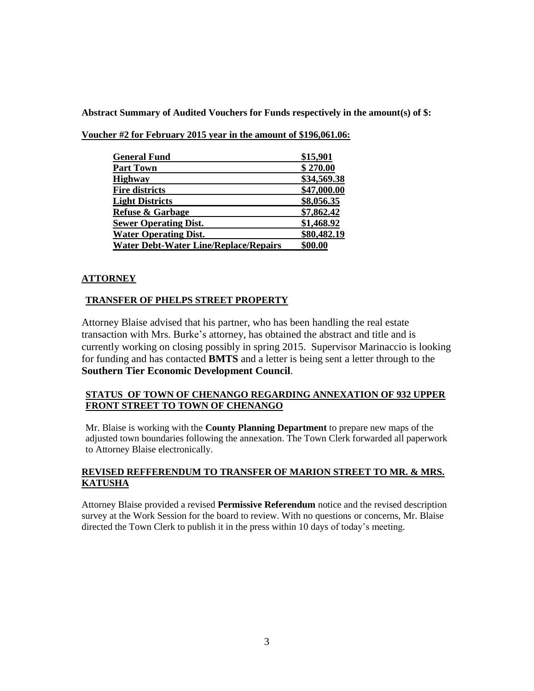**Abstract Summary of Audited Vouchers for Funds respectively in the amount(s) of \$:**

| <b>General Fund</b>                          | \$15,901    |
|----------------------------------------------|-------------|
| <b>Part Town</b>                             | \$270.00    |
| <b>Highway</b>                               | \$34,569.38 |
| <b>Fire districts</b>                        | \$47,000.00 |
| <b>Light Districts</b>                       | \$8,056.35  |
| <b>Refuse &amp; Garbage</b>                  | \$7,862.42  |
| <b>Sewer Operating Dist.</b>                 | \$1,468.92  |
| <b>Water Operating Dist.</b>                 | \$80,482.19 |
| <b>Water Debt-Water Line/Replace/Repairs</b> | \$00.00     |

**Voucher #2 for February 2015 year in the amount of \$196,061.06:**

## **ATTORNEY**

## **TRANSFER OF PHELPS STREET PROPERTY**

Attorney Blaise advised that his partner, who has been handling the real estate transaction with Mrs. Burke's attorney, has obtained the abstract and title and is currently working on closing possibly in spring 2015. Supervisor Marinaccio is looking for funding and has contacted **BMTS** and a letter is being sent a letter through to the **Southern Tier Economic Development Council**.

## **STATUS OF TOWN OF CHENANGO REGARDING ANNEXATION OF 932 UPPER FRONT STREET TO TOWN OF CHENANGO**

Mr. Blaise is working with the **County Planning Department** to prepare new maps of the adjusted town boundaries following the annexation. The Town Clerk forwarded all paperwork to Attorney Blaise electronically.

## **REVISED REFFERENDUM TO TRANSFER OF MARION STREET TO MR. & MRS. KATUSHA**

Attorney Blaise provided a revised **Permissive Referendum** notice and the revised description survey at the Work Session for the board to review. With no questions or concerns, Mr. Blaise directed the Town Clerk to publish it in the press within 10 days of today's meeting.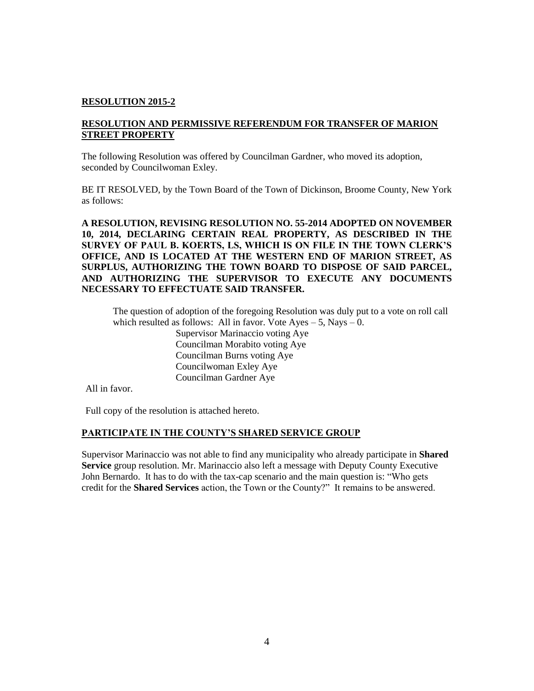## **RESOLUTION 2015-2**

#### **RESOLUTION AND PERMISSIVE REFERENDUM FOR TRANSFER OF MARION STREET PROPERTY**

The following Resolution was offered by Councilman Gardner, who moved its adoption, seconded by Councilwoman Exley.

BE IT RESOLVED, by the Town Board of the Town of Dickinson, Broome County, New York as follows:

**A RESOLUTION, REVISING RESOLUTION NO. 55-2014 ADOPTED ON NOVEMBER 10, 2014, DECLARING CERTAIN REAL PROPERTY, AS DESCRIBED IN THE SURVEY OF PAUL B. KOERTS, LS, WHICH IS ON FILE IN THE TOWN CLERK'S OFFICE, AND IS LOCATED AT THE WESTERN END OF MARION STREET, AS SURPLUS, AUTHORIZING THE TOWN BOARD TO DISPOSE OF SAID PARCEL, AND AUTHORIZING THE SUPERVISOR TO EXECUTE ANY DOCUMENTS NECESSARY TO EFFECTUATE SAID TRANSFER.**

The question of adoption of the foregoing Resolution was duly put to a vote on roll call which resulted as follows: All in favor. Vote  $Ayes - 5$ , Nays  $- 0$ . Supervisor Marinaccio voting Aye Councilman Morabito voting Aye Councilman Burns voting Aye Councilwoman Exley Aye Councilman Gardner Aye

All in favor.

Full copy of the resolution is attached hereto.

#### **PARTICIPATE IN THE COUNTY'S SHARED SERVICE GROUP**

Supervisor Marinaccio was not able to find any municipality who already participate in **Shared Service** group resolution. Mr. Marinaccio also left a message with Deputy County Executive John Bernardo. It has to do with the tax-cap scenario and the main question is: "Who gets credit for the **Shared Services** action, the Town or the County?" It remains to be answered.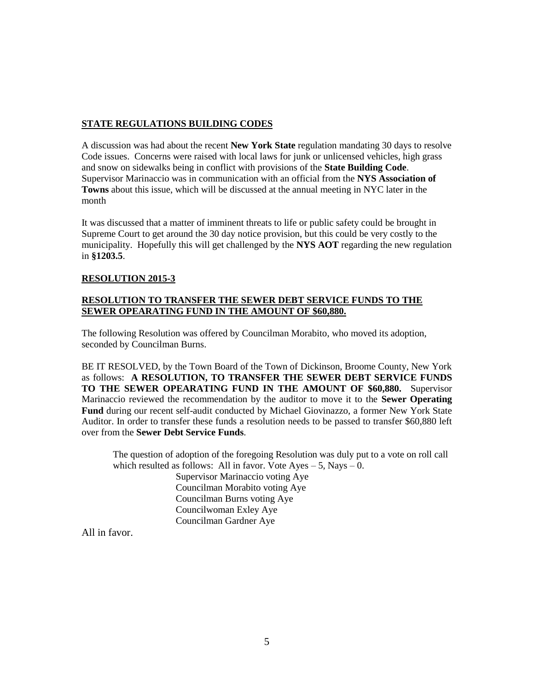# **STATE REGULATIONS BUILDING CODES**

A discussion was had about the recent **New York State** regulation mandating 30 days to resolve Code issues. Concerns were raised with local laws for junk or unlicensed vehicles, high grass and snow on sidewalks being in conflict with provisions of the **State Building Code**. Supervisor Marinaccio was in communication with an official from the **NYS Association of Towns** about this issue, which will be discussed at the annual meeting in NYC later in the month

It was discussed that a matter of imminent threats to life or public safety could be brought in Supreme Court to get around the 30 day notice provision, but this could be very costly to the municipality. Hopefully this will get challenged by the **NYS AOT** regarding the new regulation in **§1203.5**.

## **RESOLUTION 2015-3**

#### **RESOLUTION TO TRANSFER THE SEWER DEBT SERVICE FUNDS TO THE SEWER OPEARATING FUND IN THE AMOUNT OF \$60,880.**

The following Resolution was offered by Councilman Morabito, who moved its adoption, seconded by Councilman Burns.

BE IT RESOLVED, by the Town Board of the Town of Dickinson, Broome County, New York as follows: **A RESOLUTION, TO TRANSFER THE SEWER DEBT SERVICE FUNDS TO THE SEWER OPEARATING FUND IN THE AMOUNT OF \$60,880.** Supervisor Marinaccio reviewed the recommendation by the auditor to move it to the **Sewer Operating Fund** during our recent self-audit conducted by Michael Giovinazzo, a former New York State Auditor. In order to transfer these funds a resolution needs to be passed to transfer \$60,880 left over from the **Sewer Debt Service Funds**.

The question of adoption of the foregoing Resolution was duly put to a vote on roll call which resulted as follows: All in favor. Vote  $Ayes - 5$ , Nays  $- 0$ . Supervisor Marinaccio voting Aye Councilman Morabito voting Aye Councilman Burns voting Aye Councilwoman Exley Aye Councilman Gardner Aye

All in favor.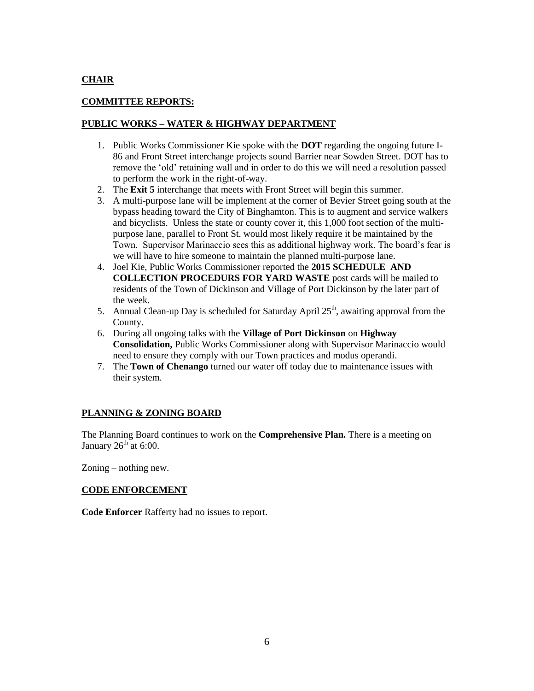# **CHAIR**

# **COMMITTEE REPORTS:**

#### **PUBLIC WORKS – WATER & HIGHWAY DEPARTMENT**

- 1. Public Works Commissioner Kie spoke with the **DOT** regarding the ongoing future I-86 and Front Street interchange projects sound Barrier near Sowden Street. DOT has to remove the 'old' retaining wall and in order to do this we will need a resolution passed to perform the work in the right-of-way.
- 2. The **Exit 5** interchange that meets with Front Street will begin this summer.
- 3. A multi-purpose lane will be implement at the corner of Bevier Street going south at the bypass heading toward the City of Binghamton. This is to augment and service walkers and bicyclists. Unless the state or county cover it, this 1,000 foot section of the multipurpose lane, parallel to Front St. would most likely require it be maintained by the Town. Supervisor Marinaccio sees this as additional highway work. The board's fear is we will have to hire someone to maintain the planned multi-purpose lane.
- 4. Joel Kie, Public Works Commissioner reported the **2015 SCHEDULE AND COLLECTION PROCEDURS FOR YARD WASTE** post cards will be mailed to residents of the Town of Dickinson and Village of Port Dickinson by the later part of the week.
- 5. Annual Clean-up Day is scheduled for Saturday April  $25<sup>th</sup>$ , awaiting approval from the County.
- 6. During all ongoing talks with the **Village of Port Dickinson** on **Highway Consolidation,** Public Works Commissioner along with Supervisor Marinaccio would need to ensure they comply with our Town practices and modus operandi.
- 7. The **Town of Chenango** turned our water off today due to maintenance issues with their system.

# **PLANNING & ZONING BOARD**

The Planning Board continues to work on the **Comprehensive Plan.** There is a meeting on January  $26<sup>th</sup>$  at 6:00.

Zoning – nothing new.

#### **CODE ENFORCEMENT**

**Code Enforcer** Rafferty had no issues to report.